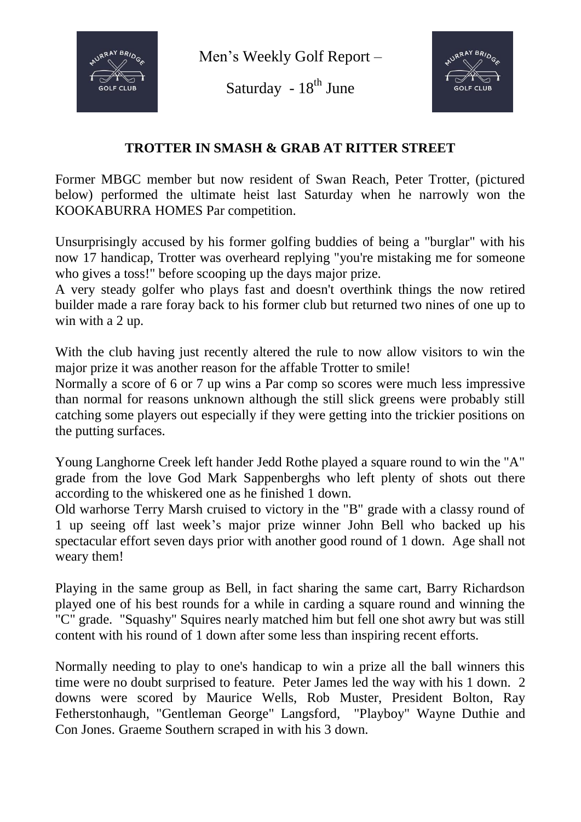

Men's Weekly Golf Report –

Saturday -  $18^{th}$  June



## **TROTTER IN SMASH & GRAB AT RITTER STREET**

Former MBGC member but now resident of Swan Reach, Peter Trotter, (pictured below) performed the ultimate heist last Saturday when he narrowly won the KOOKABURRA HOMES Par competition.

Unsurprisingly accused by his former golfing buddies of being a "burglar" with his now 17 handicap, Trotter was overheard replying "you're mistaking me for someone who gives a toss!" before scooping up the days major prize.

A very steady golfer who plays fast and doesn't overthink things the now retired builder made a rare foray back to his former club but returned two nines of one up to win with a 2 up.

With the club having just recently altered the rule to now allow visitors to win the major prize it was another reason for the affable Trotter to smile!

Normally a score of 6 or 7 up wins a Par comp so scores were much less impressive than normal for reasons unknown although the still slick greens were probably still catching some players out especially if they were getting into the trickier positions on the putting surfaces.

Young Langhorne Creek left hander Jedd Rothe played a square round to win the "A" grade from the love God Mark Sappenberghs who left plenty of shots out there according to the whiskered one as he finished 1 down.

Old warhorse Terry Marsh cruised to victory in the "B" grade with a classy round of 1 up seeing off last week's major prize winner John Bell who backed up his spectacular effort seven days prior with another good round of 1 down. Age shall not weary them!

Playing in the same group as Bell, in fact sharing the same cart, Barry Richardson played one of his best rounds for a while in carding a square round and winning the "C" grade. "Squashy" Squires nearly matched him but fell one shot awry but was still content with his round of 1 down after some less than inspiring recent efforts.

Normally needing to play to one's handicap to win a prize all the ball winners this time were no doubt surprised to feature. Peter James led the way with his 1 down. 2 downs were scored by Maurice Wells, Rob Muster, President Bolton, Ray Fetherstonhaugh, "Gentleman George" Langsford, "Playboy" Wayne Duthie and Con Jones. Graeme Southern scraped in with his 3 down.